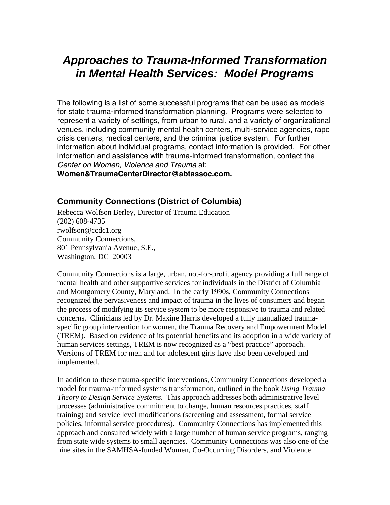# *Approaches to Trauma-Informed Transformation in Mental Health Services: Model Programs*

The following is a list of some successful programs that can be used as models for state trauma-informed transformation planning. Programs were selected to represent a variety of settings, from urban to rural, and a variety of organizational venues, including community mental health centers, multi-service agencies, rape crisis centers, medical centers, and the criminal justice system. For further information about individual programs, contact information is provided. For other information and assistance with trauma-informed transformation, contact the *Center on Women, Violence and Trauma* at:

**Women&TraumaCenterDirector@abtassoc.com.** 

## **Community Connections (District of Columbia)**

Rebecca Wolfson Berley, Director of Trauma Education (202) 608-4735 rwolfson@ccdc1.org Community Connections, 801 Pennsylvania Avenue, S.E., Washington, DC 20003

Community Connections is a large, urban, not-for-profit agency providing a full range of mental health and other supportive services for individuals in the District of Columbia and Montgomery County, Maryland. In the early 1990s, Community Connections recognized the pervasiveness and impact of trauma in the lives of consumers and began the process of modifying its service system to be more responsive to trauma and related concerns. Clinicians led by Dr. Maxine Harris developed a fully manualized traumaspecific group intervention for women, the Trauma Recovery and Empowerment Model (TREM). Based on evidence of its potential benefits and its adoption in a wide variety of human services settings, TREM is now recognized as a "best practice" approach. Versions of TREM for men and for adolescent girls have also been developed and implemented.

In addition to these trauma-specific interventions, Community Connections developed a model for trauma-informed systems transformation, outlined in the book *Using Trauma Theory to Design Service Systems*. This approach addresses both administrative level processes (administrative commitment to change, human resources practices, staff training) and service level modifications (screening and assessment, formal service policies, informal service procedures). Community Connections has implemented this approach and consulted widely with a large number of human service programs, ranging from state wide systems to small agencies. Community Connections was also one of the nine sites in the SAMHSA-funded Women, Co-Occurring Disorders, and Violence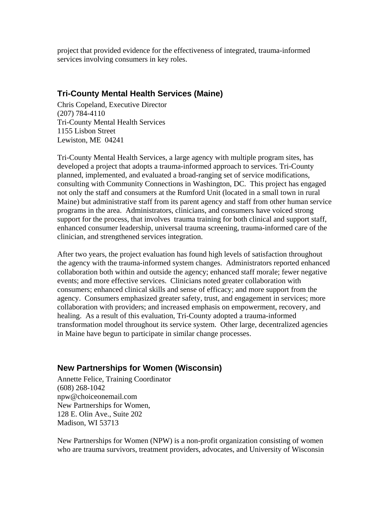project that provided evidence for the effectiveness of integrated, trauma-informed services involving consumers in key roles.

## **Tri-County Mental Health Services (Maine)**

Chris Copeland, Executive Director (207) 784-4110 Tri-County Mental Health Services 1155 Lisbon Street Lewiston, ME 04241

Tri-County Mental Health Services, a large agency with multiple program sites, has developed a project that adopts a trauma-informed approach to services. Tri-County planned, implemented, and evaluated a broad-ranging set of service modifications, consulting with Community Connections in Washington, DC. This project has engaged not only the staff and consumers at the Rumford Unit (located in a small town in rural Maine) but administrative staff from its parent agency and staff from other human service programs in the area. Administrators, clinicians, and consumers have voiced strong support for the process, that involves trauma training for both clinical and support staff, enhanced consumer leadership, universal trauma screening, trauma-informed care of the clinician, and strengthened services integration.

After two years, the project evaluation has found high levels of satisfaction throughout the agency with the trauma-informed system changes. Administrators reported enhanced collaboration both within and outside the agency; enhanced staff morale; fewer negative events; and more effective services. Clinicians noted greater collaboration with consumers; enhanced clinical skills and sense of efficacy; and more support from the agency. Consumers emphasized greater safety, trust, and engagement in services; more collaboration with providers; and increased emphasis on empowerment, recovery, and healing. As a result of this evaluation, Tri-County adopted a trauma-informed transformation model throughout its service system. Other large, decentralized agencies in Maine have begun to participate in similar change processes.

## **New Partnerships for Women (Wisconsin)**

Annette Felice, Training Coordinator (608) 268-1042 npw@choiceonemail.com New Partnerships for Women, 128 E. Olin Ave., Suite 202 Madison, WI 53713

New Partnerships for Women (NPW) is a non-profit organization consisting of women who are trauma survivors, treatment providers, advocates, and University of Wisconsin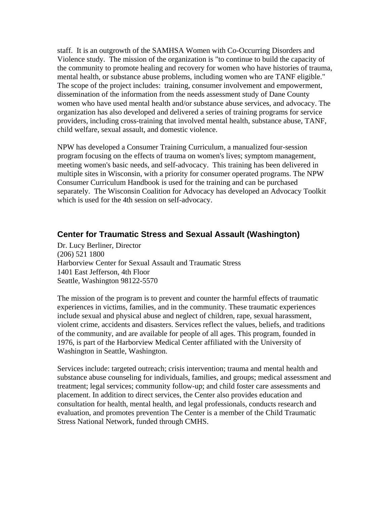staff. It is an outgrowth of the SAMHSA Women with Co-Occurring Disorders and Violence study. The mission of the organization is "to continue to build the capacity of the community to promote healing and recovery for women who have histories of trauma, mental health, or substance abuse problems, including women who are TANF eligible." The scope of the project includes: training, consumer involvement and empowerment, dissemination of the information from the needs assessment study of Dane County women who have used mental health and/or substance abuse services, and advocacy. The organization has also developed and delivered a series of training programs for service providers, including cross-training that involved mental health, substance abuse, TANF, child welfare, sexual assault, and domestic violence.

NPW has developed a Consumer Training Curriculum, a manualized four-session program focusing on the effects of trauma on women's lives; symptom management, meeting women's basic needs, and self-advocacy. This training has been delivered in multiple sites in Wisconsin, with a priority for consumer operated programs. The NPW Consumer Curriculum Handbook is used for the training and can be purchased separately. The Wisconsin Coalition for Advocacy has developed an Advocacy Toolkit which is used for the 4th session on self-advocacy.

## **Center for Traumatic Stress and Sexual Assault (Washington)**

Dr. Lucy Berliner, Director (206) 521 1800 Harborview Center for Sexual Assault and Traumatic Stress 1401 East Jefferson, 4th Floor Seattle, Washington 98122-5570

The mission of the program is to prevent and counter the harmful effects of traumatic experiences in victims, families, and in the community. These traumatic experiences include sexual and physical abuse and neglect of children, rape, sexual harassment, violent crime, accidents and disasters. Services reflect the values, beliefs, and traditions of the community, and are available for people of all ages. This program, founded in 1976, is part of the Harborview Medical Center affiliated with the University of Washington in Seattle, Washington.

Services include: targeted outreach; crisis intervention; trauma and mental health and substance abuse counseling for individuals, families, and groups; medical assessment and treatment; legal services; community follow-up; and child foster care assessments and placement. In addition to direct services, the Center also provides education and consultation for health, mental health, and legal professionals, conducts research and evaluation, and promotes prevention The Center is a member of the Child Traumatic Stress National Network, funded through CMHS.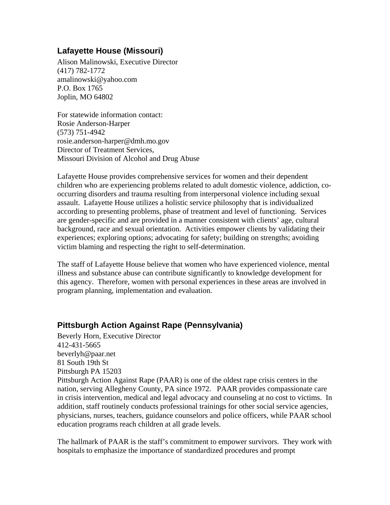## **Lafayette House (Missouri)**

Alison Malinowski, Executive Director (417) 782-1772 amalinowski@yahoo.com P.O. Box 1765 Joplin, MO 64802

For statewide information contact: Rosie Anderson-Harper (573) 751-4942 rosie.anderson-harper@dmh.mo.gov Director of Treatment Services, Missouri Division of Alcohol and Drug Abuse

Lafayette House provides comprehensive services for women and their dependent children who are experiencing problems related to adult domestic violence, addiction, cooccurring disorders and trauma resulting from interpersonal violence including sexual assault. Lafayette House utilizes a holistic service philosophy that is individualized according to presenting problems, phase of treatment and level of functioning. Services are gender-specific and are provided in a manner consistent with clients' age, cultural background, race and sexual orientation. Activities empower clients by validating their experiences; exploring options; advocating for safety; building on strengths; avoiding victim blaming and respecting the right to self-determination.

The staff of Lafayette House believe that women who have experienced violence, mental illness and substance abuse can contribute significantly to knowledge development for this agency. Therefore, women with personal experiences in these areas are involved in program planning, implementation and evaluation.

## **Pittsburgh Action Against Rape (Pennsylvania)**

Beverly Horn, Executive Director 412-431-5665 beverlyh@paar.net 81 South 19th St Pittsburgh PA 15203 Pittsburgh Action Against Rape (PAAR) is one of the oldest rape crisis centers in the nation, serving Allegheny County, PA since 1972. PAAR provides compassionate care in crisis intervention, medical and legal advocacy and counseling at no cost to victims. In addition, staff routinely conducts professional trainings for other social service agencies, physicians, nurses, teachers, guidance counselors and police officers, while PAAR school education programs reach children at all grade levels.

The hallmark of PAAR is the staff's commitment to empower survivors. They work with hospitals to emphasize the importance of standardized procedures and prompt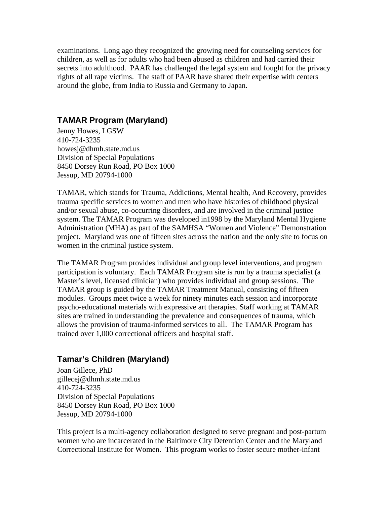examinations. Long ago they recognized the growing need for counseling services for children, as well as for adults who had been abused as children and had carried their secrets into adulthood. PAAR has challenged the legal system and fought for the privacy rights of all rape victims. The staff of PAAR have shared their expertise with centers around the globe, from India to Russia and Germany to Japan.

#### **TAMAR Program (Maryland)**

Jenny Howes, LGSW 410-724-3235 howesj@dhmh.state.md.us Division of Special Populations 8450 Dorsey Run Road, PO Box 1000 Jessup, MD 20794-1000

TAMAR, which stands for Trauma, Addictions, Mental health, And Recovery, provides trauma specific services to women and men who have histories of childhood physical and/or sexual abuse, co-occurring disorders, and are involved in the criminal justice system. The TAMAR Program was developed in1998 by the Maryland Mental Hygiene Administration (MHA) as part of the SAMHSA "Women and Violence" Demonstration project. Maryland was one of fifteen sites across the nation and the only site to focus on women in the criminal justice system.

The TAMAR Program provides individual and group level interventions, and program participation is voluntary. Each TAMAR Program site is run by a trauma specialist (a Master's level, licensed clinician) who provides individual and group sessions. The TAMAR group is guided by the TAMAR Treatment Manual, consisting of fifteen modules. Groups meet twice a week for ninety minutes each session and incorporate psycho-educational materials with expressive art therapies. Staff working at TAMAR sites are trained in understanding the prevalence and consequences of trauma, which allows the provision of trauma-informed services to all. The TAMAR Program has trained over 1,000 correctional officers and hospital staff.

## **Tamar's Children (Maryland)**

Joan Gillece, PhD gillecej@dhmh.state.md.us 410-724-3235 Division of Special Populations 8450 Dorsey Run Road, PO Box 1000 Jessup, MD 20794-1000

This project is a multi-agency collaboration designed to serve pregnant and post-partum women who are incarcerated in the Baltimore City Detention Center and the Maryland Correctional Institute for Women. This program works to foster secure mother-infant